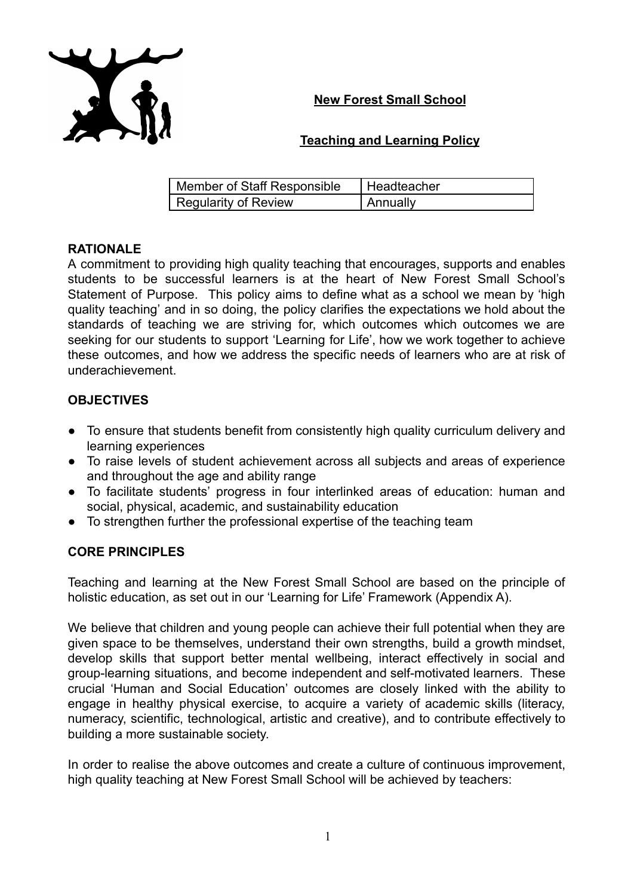## **New Forest Small School**



## **Teaching and Learning Policy**

| Member of Staff Responsible | Headteacher |
|-----------------------------|-------------|
| Regularity of Review        | Annually    |

## **RATIONALE**

A commitment to providing high quality teaching that encourages, supports and enables students to be successful learners is at the heart of New Forest Small School's Statement of Purpose. This policy aims to define what as a school we mean by 'high quality teaching' and in so doing, the policy clarifies the expectations we hold about the standards of teaching we are striving for, which outcomes which outcomes we are seeking for our students to support 'Learning for Life', how we work together to achieve these outcomes, and how we address the specific needs of learners who are at risk of underachievement.

# **OBJECTIVES**

- To ensure that students benefit from consistently high quality curriculum delivery and learning experiences
- To raise levels of student achievement across all subjects and areas of experience and throughout the age and ability range
- To facilitate students' progress in four interlinked areas of education: human and social, physical, academic, and sustainability education
- To strengthen further the professional expertise of the teaching team

## **CORE PRINCIPLES**

Teaching and learning at the New Forest Small School are based on the principle of holistic education, as set out in our 'Learning for Life' Framework (Appendix A).

We believe that children and young people can achieve their full potential when they are given space to be themselves, understand their own strengths, build a growth mindset, develop skills that support better mental wellbeing, interact effectively in social and group-learning situations, and become independent and self-motivated learners. These crucial 'Human and Social Education' outcomes are closely linked with the ability to engage in healthy physical exercise, to acquire a variety of academic skills (literacy, numeracy, scientific, technological, artistic and creative), and to contribute effectively to building a more sustainable society.

In order to realise the above outcomes and create a culture of continuous improvement, high quality teaching at New Forest Small School will be achieved by teachers: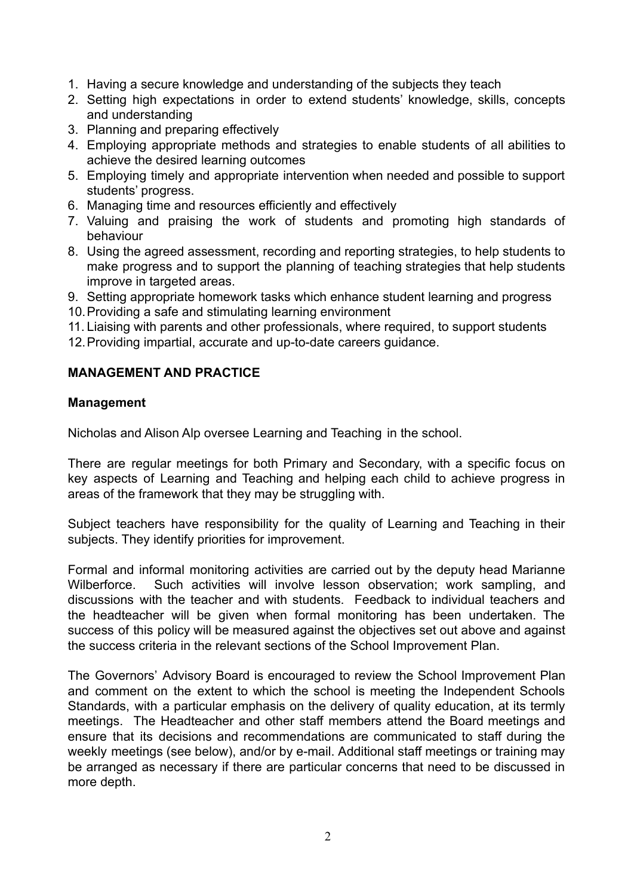- 1. Having a secure knowledge and understanding of the subjects they teach
- 2. Setting high expectations in order to extend students' knowledge, skills, concepts and understanding
- 3. Planning and preparing effectively
- 4. Employing appropriate methods and strategies to enable students of all abilities to achieve the desired learning outcomes
- 5. Employing timely and appropriate intervention when needed and possible to support students' progress.
- 6. Managing time and resources efficiently and effectively
- 7. Valuing and praising the work of students and promoting high standards of behaviour
- 8. Using the agreed assessment, recording and reporting strategies, to help students to make progress and to support the planning of teaching strategies that help students improve in targeted areas.
- 9. Setting appropriate homework tasks which enhance student learning and progress
- 10.Providing a safe and stimulating learning environment
- 11. Liaising with parents and other professionals, where required, to support students
- 12.Providing impartial, accurate and up-to-date careers guidance.

#### **MANAGEMENT AND PRACTICE**

#### **Management**

Nicholas and Alison Alp oversee Learning and Teaching in the school.

There are regular meetings for both Primary and Secondary, with a specific focus on key aspects of Learning and Teaching and helping each child to achieve progress in areas of the framework that they may be struggling with.

Subject teachers have responsibility for the quality of Learning and Teaching in their subjects. They identify priorities for improvement.

Formal and informal monitoring activities are carried out by the deputy head Marianne Wilberforce. Such activities will involve lesson observation; work sampling, and discussions with the teacher and with students. Feedback to individual teachers and the headteacher will be given when formal monitoring has been undertaken. The success of this policy will be measured against the objectives set out above and against the success criteria in the relevant sections of the School Improvement Plan.

The Governors' Advisory Board is encouraged to review the School Improvement Plan and comment on the extent to which the school is meeting the Independent Schools Standards, with a particular emphasis on the delivery of quality education, at its termly meetings. The Headteacher and other staff members attend the Board meetings and ensure that its decisions and recommendations are communicated to staff during the weekly meetings (see below), and/or by e-mail. Additional staff meetings or training may be arranged as necessary if there are particular concerns that need to be discussed in more depth.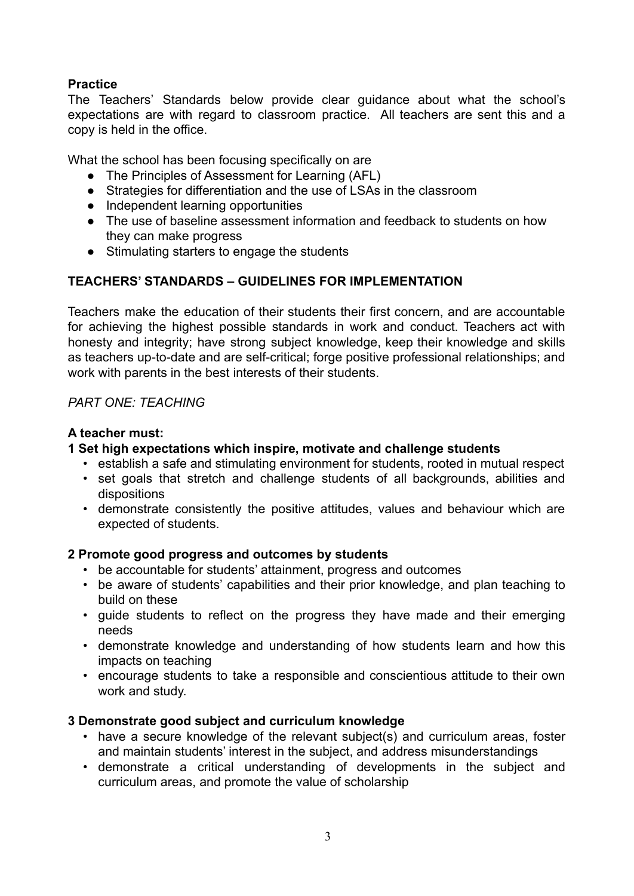## **Practice**

The Teachers' Standards below provide clear guidance about what the school's expectations are with regard to classroom practice. All teachers are sent this and a copy is held in the office.

What the school has been focusing specifically on are

- The Principles of Assessment for Learning (AFL)
- Strategies for differentiation and the use of LSAs in the classroom
- Independent learning opportunities
- The use of baseline assessment information and feedback to students on how they can make progress
- Stimulating starters to engage the students

# **TEACHERS' STANDARDS – GUIDELINES FOR IMPLEMENTATION**

Teachers make the education of their students their first concern, and are accountable for achieving the highest possible standards in work and conduct. Teachers act with honesty and integrity; have strong subject knowledge, keep their knowledge and skills as teachers up-to-date and are self-critical; forge positive professional relationships; and work with parents in the best interests of their students.

# *PART ONE: TEACHING*

## **A teacher must:**

## **1 Set high expectations which inspire, motivate and challenge students**

- establish a safe and stimulating environment for students, rooted in mutual respect
- set goals that stretch and challenge students of all backgrounds, abilities and dispositions
- demonstrate consistently the positive attitudes, values and behaviour which are expected of students.

## **2 Promote good progress and outcomes by students**

- be accountable for students' attainment, progress and outcomes
- be aware of students' capabilities and their prior knowledge, and plan teaching to build on these
- guide students to reflect on the progress they have made and their emerging needs
- demonstrate knowledge and understanding of how students learn and how this impacts on teaching
- encourage students to take a responsible and conscientious attitude to their own work and study.

## **3 Demonstrate good subject and curriculum knowledge**

- have a secure knowledge of the relevant subject(s) and curriculum areas, foster and maintain students' interest in the subject, and address misunderstandings
- demonstrate a critical understanding of developments in the subject and curriculum areas, and promote the value of scholarship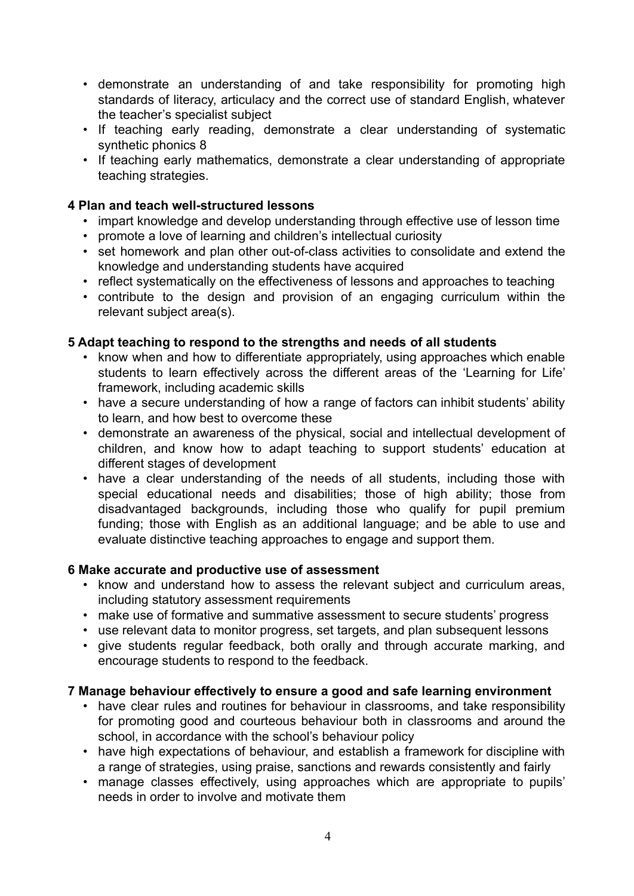- demonstrate an understanding of and take responsibility for promoting high standards of literacy, articulacy and the correct use of standard English, whatever the teacher's specialist subject
- If teaching early reading, demonstrate a clear understanding of systematic synthetic phonics 8
- If teaching early mathematics, demonstrate a clear understanding of appropriate teaching strategies.

#### **4 Plan and teach well-structured lessons**

- impart knowledge and develop understanding through effective use of lesson time
- promote a love of learning and children's intellectual curiosity
- set homework and plan other out-of-class activities to consolidate and extend the knowledge and understanding students have acquired
- reflect systematically on the effectiveness of lessons and approaches to teaching
- contribute to the design and provision of an engaging curriculum within the relevant subject area(s).

#### **5 Adapt teaching to respond to the strengths and needs of all students**

- know when and how to differentiate appropriately, using approaches which enable students to learn effectively across the different areas of the 'Learning for Life' framework, including academic skills
- have a secure understanding of how a range of factors can inhibit students' ability to learn, and how best to overcome these
- demonstrate an awareness of the physical, social and intellectual development of children, and know how to adapt teaching to support students' education at different stages of development
- have a clear understanding of the needs of all students, including those with special educational needs and disabilities; those of high ability; those from disadvantaged backgrounds, including those who qualify for pupil premium funding; those with English as an additional language; and be able to use and evaluate distinctive teaching approaches to engage and support them.

#### **6 Make accurate and productive use of assessment**

- know and understand how to assess the relevant subject and curriculum areas, including statutory assessment requirements
- make use of formative and summative assessment to secure students' progress
- use relevant data to monitor progress, set targets, and plan subsequent lessons
- give students regular feedback, both orally and through accurate marking, and encourage students to respond to the feedback.

#### **7 Manage behaviour effectively to ensure a good and safe learning environment**

- have clear rules and routines for behaviour in classrooms, and take responsibility for promoting good and courteous behaviour both in classrooms and around the school, in accordance with the school's behaviour policy
- have high expectations of behaviour, and establish a framework for discipline with a range of strategies, using praise, sanctions and rewards consistently and fairly
- manage classes effectively, using approaches which are appropriate to pupils' needs in order to involve and motivate them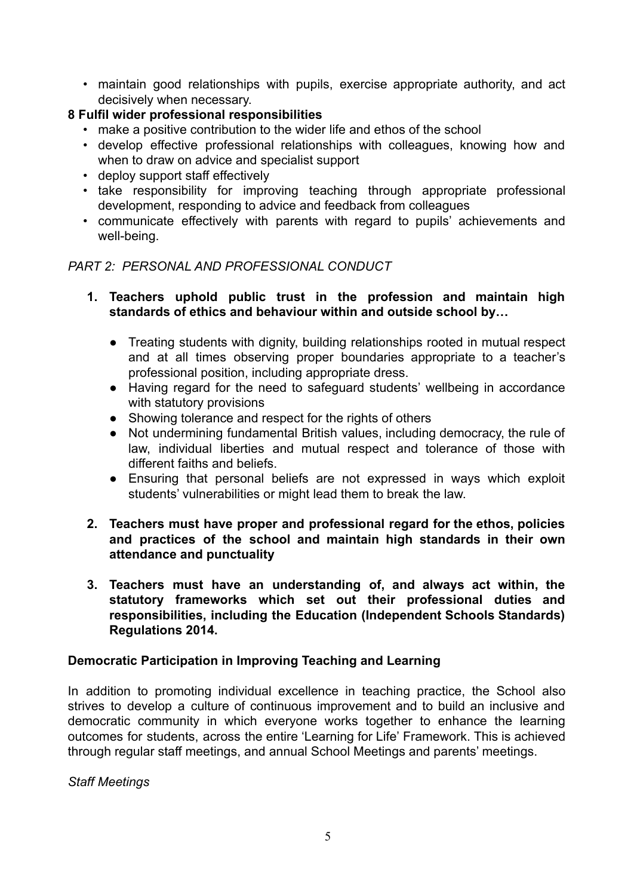• maintain good relationships with pupils, exercise appropriate authority, and act decisively when necessary.

# **8 Fulfil wider professional responsibilities**

- make a positive contribution to the wider life and ethos of the school
- develop effective professional relationships with colleagues, knowing how and when to draw on advice and specialist support
- deploy support staff effectively
- take responsibility for improving teaching through appropriate professional development, responding to advice and feedback from colleagues
- communicate effectively with parents with regard to pupils' achievements and well-being.

#### *PART 2: PERSONAL AND PROFESSIONAL CONDUCT*

- **1. Teachers uphold public trust in the profession and maintain high standards of ethics and behaviour within and outside school by…**
	- Treating students with dignity, building relationships rooted in mutual respect and at all times observing proper boundaries appropriate to a teacher's professional position, including appropriate dress.
	- Having regard for the need to safeguard students' wellbeing in accordance with statutory provisions
	- Showing tolerance and respect for the rights of others
	- Not undermining fundamental British values, including democracy, the rule of law, individual liberties and mutual respect and tolerance of those with different faiths and beliefs.
	- Ensuring that personal beliefs are not expressed in ways which exploit students' vulnerabilities or might lead them to break the law.
- **2. Teachers must have proper and professional regard for the ethos, policies and practices of the school and maintain high standards in their own attendance and punctuality**
- **3. Teachers must have an understanding of, and always act within, the statutory frameworks which set out their professional duties and responsibilities, including the Education (Independent Schools Standards) Regulations 2014.**

## **Democratic Participation in Improving Teaching and Learning**

In addition to promoting individual excellence in teaching practice, the School also strives to develop a culture of continuous improvement and to build an inclusive and democratic community in which everyone works together to enhance the learning outcomes for students, across the entire 'Learning for Life' Framework. This is achieved through regular staff meetings, and annual School Meetings and parents' meetings.

*Staff Meetings*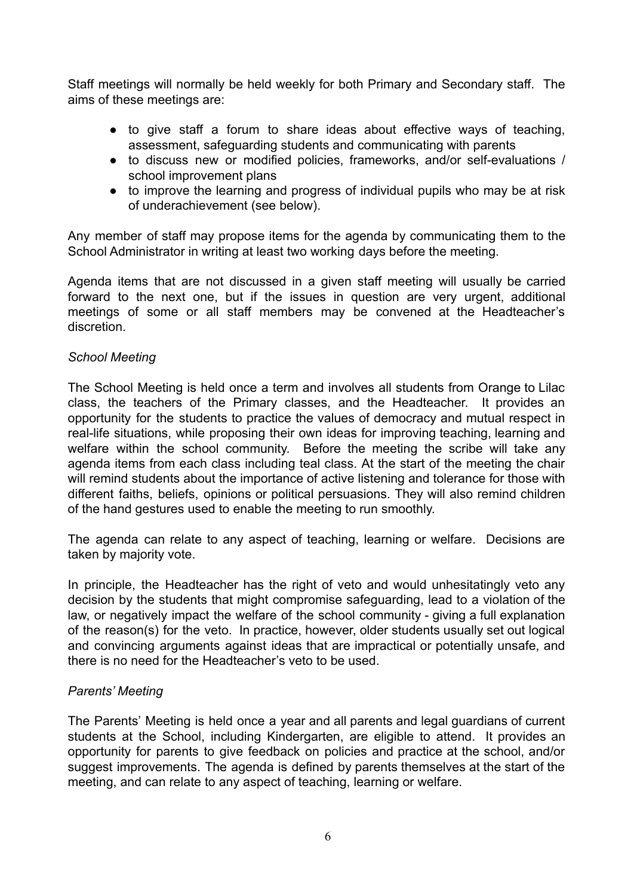Staff meetings will normally be held weekly for both Primary and Secondary staff. The aims of these meetings are:

- to give staff a forum to share ideas about effective ways of teaching, assessment, safeguarding students and communicating with parents
- to discuss new or modified policies, frameworks, and/or self-evaluations / school improvement plans
- to improve the learning and progress of individual pupils who may be at risk of underachievement (see below).

Any member of staff may propose items for the agenda by communicating them to the School Administrator in writing at least two working days before the meeting.

Agenda items that are not discussed in a given staff meeting will usually be carried forward to the next one, but if the issues in question are very urgent, additional meetings of some or all staff members may be convened at the Headteacher's discretion.

#### *School Meeting*

The School Meeting is held once a term and involves all students from Orange to Lilac class, the teachers of the Primary classes, and the Headteacher. It provides an opportunity for the students to practice the values of democracy and mutual respect in real-life situations, while proposing their own ideas for improving teaching, learning and welfare within the school community. Before the meeting the scribe will take any agenda items from each class including teal class. At the start of the meeting the chair will remind students about the importance of active listening and tolerance for those with different faiths, beliefs, opinions or political persuasions. They will also remind children of the hand gestures used to enable the meeting to run smoothly.

The agenda can relate to any aspect of teaching, learning or welfare. Decisions are taken by majority vote.

In principle, the Headteacher has the right of veto and would unhesitatingly veto any decision by the students that might compromise safeguarding, lead to a violation of the law, or negatively impact the welfare of the school community - giving a full explanation of the reason(s) for the veto. In practice, however, older students usually set out logical and convincing arguments against ideas that are impractical or potentially unsafe, and there is no need for the Headteacher's veto to be used.

#### *Parents' Meeting*

The Parents' Meeting is held once a year and all parents and legal guardians of current students at the School, including Kindergarten, are eligible to attend. It provides an opportunity for parents to give feedback on policies and practice at the school, and/or suggest improvements. The agenda is defined by parents themselves at the start of the meeting, and can relate to any aspect of teaching, learning or welfare.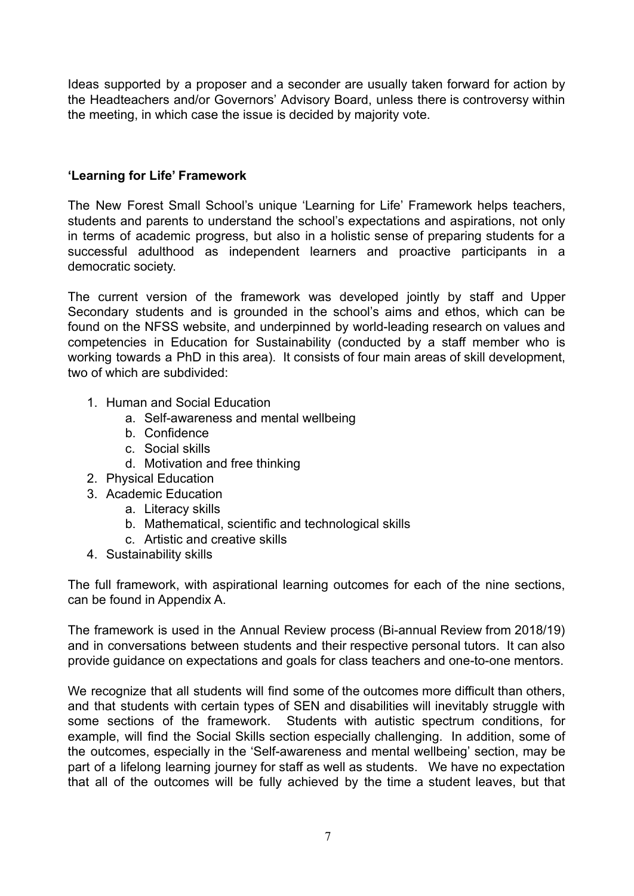Ideas supported by a proposer and a seconder are usually taken forward for action by the Headteachers and/or Governors' Advisory Board, unless there is controversy within the meeting, in which case the issue is decided by majority vote.

## **'Learning for Life' Framework**

The New Forest Small School's unique 'Learning for Life' Framework helps teachers, students and parents to understand the school's expectations and aspirations, not only in terms of academic progress, but also in a holistic sense of preparing students for a successful adulthood as independent learners and proactive participants in a democratic society.

The current version of the framework was developed jointly by staff and Upper Secondary students and is grounded in the school's aims and ethos, which can be found on the NFSS website, and underpinned by world-leading research on values and competencies in Education for Sustainability (conducted by a staff member who is working towards a PhD in this area). It consists of four main areas of skill development, two of which are subdivided:

- 1. Human and Social Education
	- a. Self-awareness and mental wellbeing
	- b. Confidence
	- c. Social skills
	- d. Motivation and free thinking
- 2. Physical Education
- 3. Academic Education
	- a. Literacy skills
	- b. Mathematical, scientific and technological skills
	- c. Artistic and creative skills
- 4. Sustainability skills

The full framework, with aspirational learning outcomes for each of the nine sections, can be found in Appendix A.

The framework is used in the Annual Review process (Bi-annual Review from 2018/19) and in conversations between students and their respective personal tutors. It can also provide guidance on expectations and goals for class teachers and one-to-one mentors.

We recognize that all students will find some of the outcomes more difficult than others, and that students with certain types of SEN and disabilities will inevitably struggle with some sections of the framework. Students with autistic spectrum conditions, for example, will find the Social Skills section especially challenging. In addition, some of the outcomes, especially in the 'Self-awareness and mental wellbeing' section, may be part of a lifelong learning journey for staff as well as students. We have no expectation that all of the outcomes will be fully achieved by the time a student leaves, but that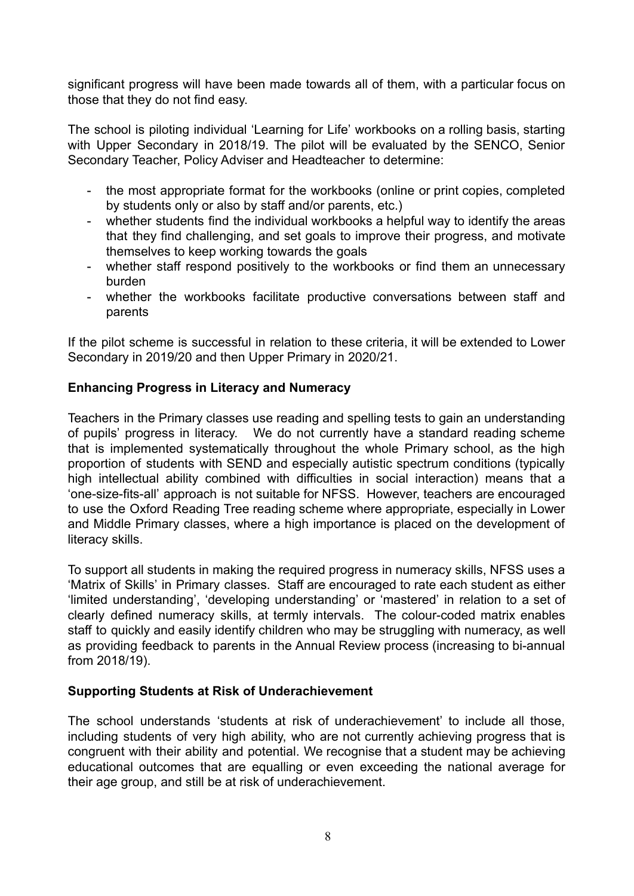significant progress will have been made towards all of them, with a particular focus on those that they do not find easy.

The school is piloting individual 'Learning for Life' workbooks on a rolling basis, starting with Upper Secondary in 2018/19. The pilot will be evaluated by the SENCO, Senior Secondary Teacher, Policy Adviser and Headteacher to determine:

- the most appropriate format for the workbooks (online or print copies, completed by students only or also by staff and/or parents, etc.)
- whether students find the individual workbooks a helpful way to identify the areas that they find challenging, and set goals to improve their progress, and motivate themselves to keep working towards the goals
- whether staff respond positively to the workbooks or find them an unnecessary burden
- whether the workbooks facilitate productive conversations between staff and parents

If the pilot scheme is successful in relation to these criteria, it will be extended to Lower Secondary in 2019/20 and then Upper Primary in 2020/21.

## **Enhancing Progress in Literacy and Numeracy**

Teachers in the Primary classes use reading and spelling tests to gain an understanding of pupils' progress in literacy. We do not currently have a standard reading scheme that is implemented systematically throughout the whole Primary school, as the high proportion of students with SEND and especially autistic spectrum conditions (typically high intellectual ability combined with difficulties in social interaction) means that a 'one-size-fits-all' approach is not suitable for NFSS. However, teachers are encouraged to use the Oxford Reading Tree reading scheme where appropriate, especially in Lower and Middle Primary classes, where a high importance is placed on the development of literacy skills.

To support all students in making the required progress in numeracy skills, NFSS uses a 'Matrix of Skills' in Primary classes. Staff are encouraged to rate each student as either 'limited understanding', 'developing understanding' or 'mastered' in relation to a set of clearly defined numeracy skills, at termly intervals. The colour-coded matrix enables staff to quickly and easily identify children who may be struggling with numeracy, as well as providing feedback to parents in the Annual Review process (increasing to bi-annual from 2018/19).

#### **Supporting Students at Risk of Underachievement**

The school understands 'students at risk of underachievement' to include all those, including students of very high ability, who are not currently achieving progress that is congruent with their ability and potential. We recognise that a student may be achieving educational outcomes that are equalling or even exceeding the national average for their age group, and still be at risk of underachievement.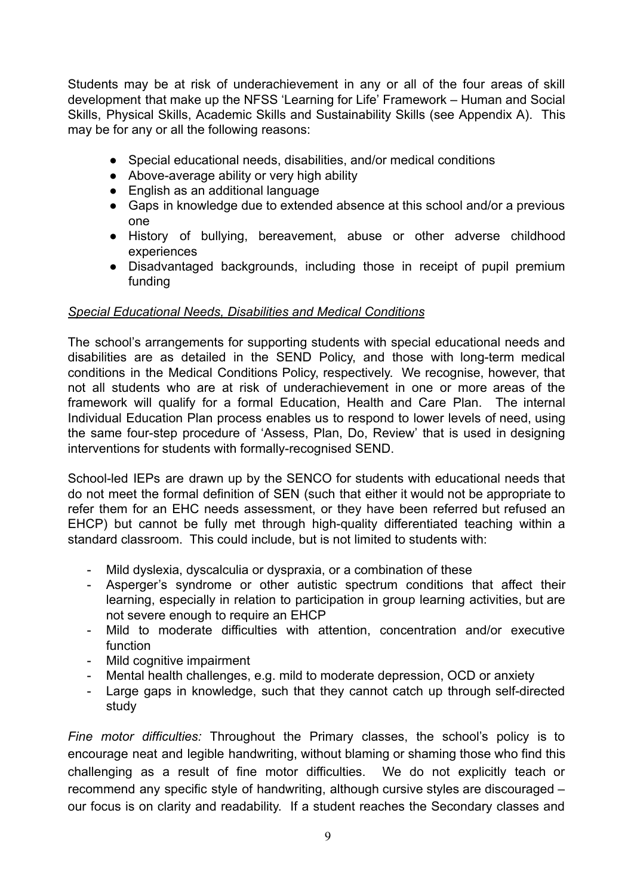Students may be at risk of underachievement in any or all of the four areas of skill development that make up the NFSS 'Learning for Life' Framework – Human and Social Skills, Physical Skills, Academic Skills and Sustainability Skills (see Appendix A). This may be for any or all the following reasons:

- Special educational needs, disabilities, and/or medical conditions
- Above-average ability or very high ability
- English as an additional language
- Gaps in knowledge due to extended absence at this school and/or a previous one
- History of bullying, bereavement, abuse or other adverse childhood experiences
- Disadvantaged backgrounds, including those in receipt of pupil premium funding

# *Special Educational Needs, Disabilities and Medical Conditions*

The school's arrangements for supporting students with special educational needs and disabilities are as detailed in the SEND Policy, and those with long-term medical conditions in the Medical Conditions Policy, respectively. We recognise, however, that not all students who are at risk of underachievement in one or more areas of the framework will qualify for a formal Education, Health and Care Plan. The internal Individual Education Plan process enables us to respond to lower levels of need, using the same four-step procedure of 'Assess, Plan, Do, Review' that is used in designing interventions for students with formally-recognised SEND.

School-led IEPs are drawn up by the SENCO for students with educational needs that do not meet the formal definition of SEN (such that either it would not be appropriate to refer them for an EHC needs assessment, or they have been referred but refused an EHCP) but cannot be fully met through high-quality differentiated teaching within a standard classroom. This could include, but is not limited to students with:

- Mild dyslexia, dyscalculia or dyspraxia, or a combination of these
- Asperger's syndrome or other autistic spectrum conditions that affect their learning, especially in relation to participation in group learning activities, but are not severe enough to require an EHCP
- Mild to moderate difficulties with attention, concentration and/or executive function
- Mild cognitive impairment
- Mental health challenges, e.g. mild to moderate depression, OCD or anxiety
- Large gaps in knowledge, such that they cannot catch up through self-directed study

*Fine motor difficulties:* Throughout the Primary classes, the school's policy is to encourage neat and legible handwriting, without blaming or shaming those who find this challenging as a result of fine motor difficulties. We do not explicitly teach or recommend any specific style of handwriting, although cursive styles are discouraged – our focus is on clarity and readability. If a student reaches the Secondary classes and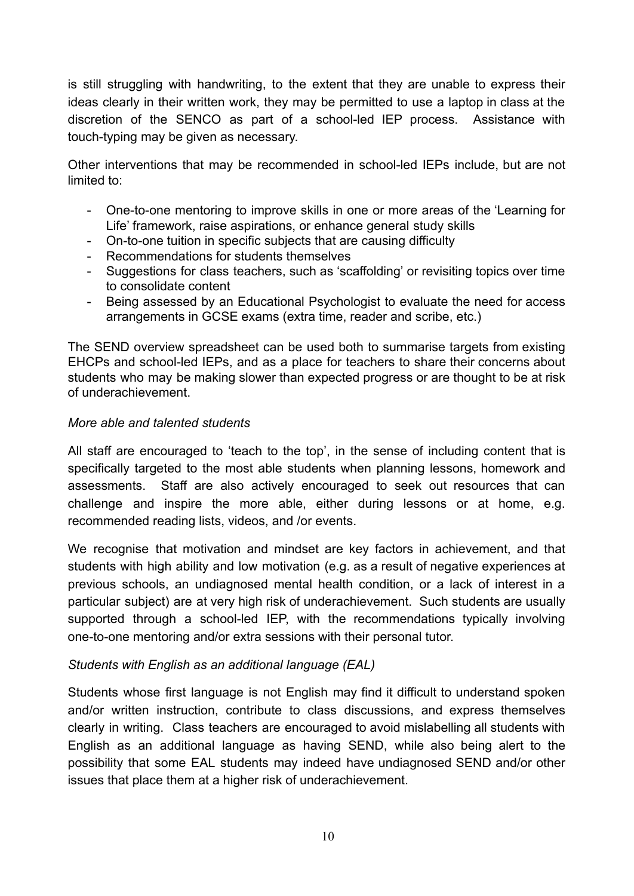is still struggling with handwriting, to the extent that they are unable to express their ideas clearly in their written work, they may be permitted to use a laptop in class at the discretion of the SENCO as part of a school-led IEP process. Assistance with touch-typing may be given as necessary.

Other interventions that may be recommended in school-led IEPs include, but are not limited to:

- One-to-one mentoring to improve skills in one or more areas of the 'Learning for Life' framework, raise aspirations, or enhance general study skills
- On-to-one tuition in specific subjects that are causing difficulty
- Recommendations for students themselves
- Suggestions for class teachers, such as 'scaffolding' or revisiting topics over time to consolidate content
- Being assessed by an Educational Psychologist to evaluate the need for access arrangements in GCSE exams (extra time, reader and scribe, etc.)

The SEND overview spreadsheet can be used both to summarise targets from existing EHCPs and school-led IEPs, and as a place for teachers to share their concerns about students who may be making slower than expected progress or are thought to be at risk of underachievement.

## *More able and talented students*

All staff are encouraged to 'teach to the top', in the sense of including content that is specifically targeted to the most able students when planning lessons, homework and assessments. Staff are also actively encouraged to seek out resources that can challenge and inspire the more able, either during lessons or at home, e.g. recommended reading lists, videos, and /or events.

We recognise that motivation and mindset are key factors in achievement, and that students with high ability and low motivation (e.g. as a result of negative experiences at previous schools, an undiagnosed mental health condition, or a lack of interest in a particular subject) are at very high risk of underachievement. Such students are usually supported through a school-led IEP, with the recommendations typically involving one-to-one mentoring and/or extra sessions with their personal tutor.

## *Students with English as an additional language (EAL)*

Students whose first language is not English may find it difficult to understand spoken and/or written instruction, contribute to class discussions, and express themselves clearly in writing. Class teachers are encouraged to avoid mislabelling all students with English as an additional language as having SEND, while also being alert to the possibility that some EAL students may indeed have undiagnosed SEND and/or other issues that place them at a higher risk of underachievement.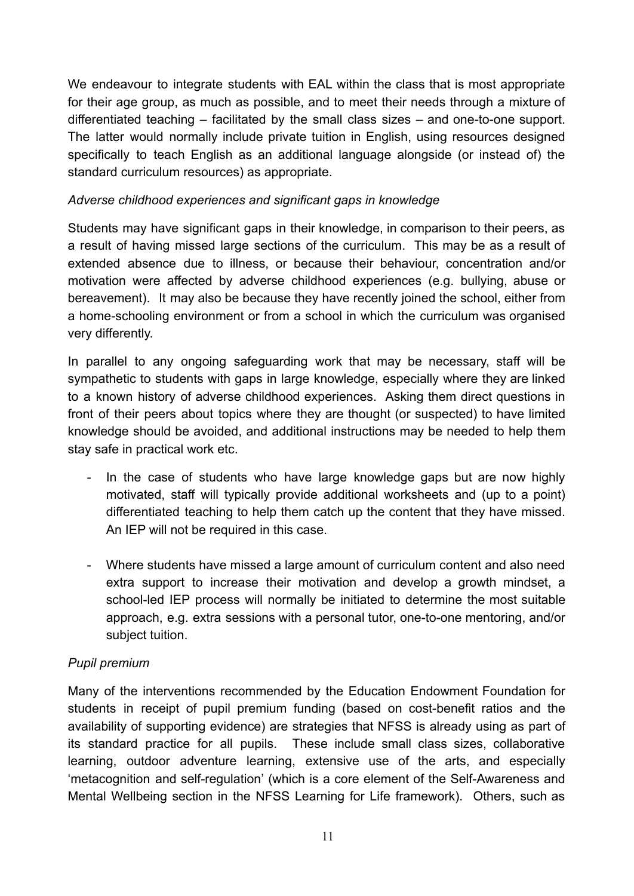We endeavour to integrate students with EAL within the class that is most appropriate for their age group, as much as possible, and to meet their needs through a mixture of differentiated teaching – facilitated by the small class sizes – and one-to-one support. The latter would normally include private tuition in English, using resources designed specifically to teach English as an additional language alongside (or instead of) the standard curriculum resources) as appropriate.

## *Adverse childhood experiences and significant gaps in knowledge*

Students may have significant gaps in their knowledge, in comparison to their peers, as a result of having missed large sections of the curriculum. This may be as a result of extended absence due to illness, or because their behaviour, concentration and/or motivation were affected by adverse childhood experiences (e.g. bullying, abuse or bereavement). It may also be because they have recently joined the school, either from a home-schooling environment or from a school in which the curriculum was organised very differently.

In parallel to any ongoing safeguarding work that may be necessary, staff will be sympathetic to students with gaps in large knowledge, especially where they are linked to a known history of adverse childhood experiences. Asking them direct questions in front of their peers about topics where they are thought (or suspected) to have limited knowledge should be avoided, and additional instructions may be needed to help them stay safe in practical work etc.

- In the case of students who have large knowledge gaps but are now highly motivated, staff will typically provide additional worksheets and (up to a point) differentiated teaching to help them catch up the content that they have missed. An IEP will not be required in this case.
- Where students have missed a large amount of curriculum content and also need extra support to increase their motivation and develop a growth mindset, a school-led IEP process will normally be initiated to determine the most suitable approach, e.g. extra sessions with a personal tutor, one-to-one mentoring, and/or subject tuition.

# *Pupil premium*

Many of the interventions recommended by the Education Endowment Foundation for students in receipt of pupil premium funding (based on cost-benefit ratios and the availability of supporting evidence) are strategies that NFSS is already using as part of its standard practice for all pupils. These include small class sizes, collaborative learning, outdoor adventure learning, extensive use of the arts, and especially 'metacognition and self-regulation' (which is a core element of the Self-Awareness and Mental Wellbeing section in the NFSS Learning for Life framework). Others, such as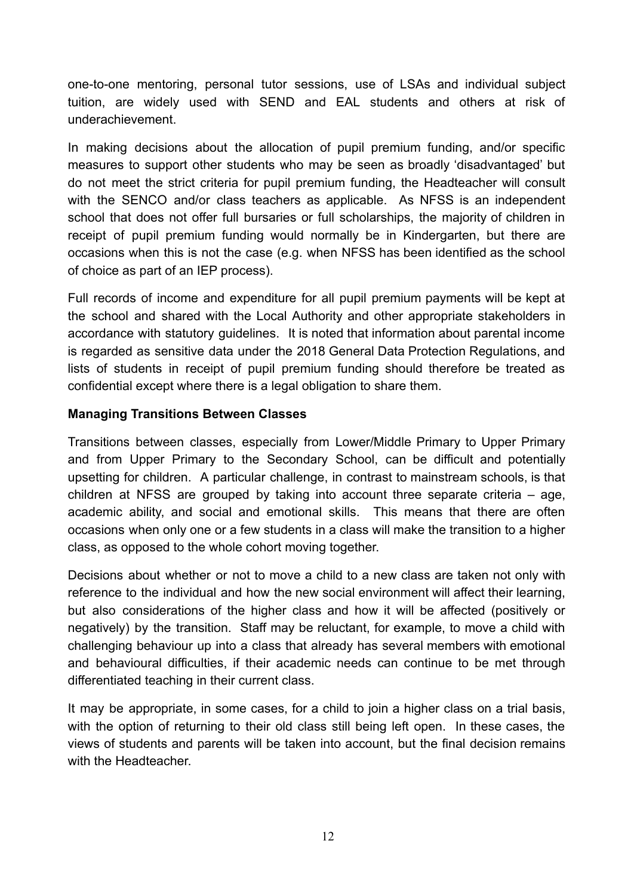one-to-one mentoring, personal tutor sessions, use of LSAs and individual subject tuition, are widely used with SEND and EAL students and others at risk of underachievement.

In making decisions about the allocation of pupil premium funding, and/or specific measures to support other students who may be seen as broadly 'disadvantaged' but do not meet the strict criteria for pupil premium funding, the Headteacher will consult with the SENCO and/or class teachers as applicable. As NFSS is an independent school that does not offer full bursaries or full scholarships, the majority of children in receipt of pupil premium funding would normally be in Kindergarten, but there are occasions when this is not the case (e.g. when NFSS has been identified as the school of choice as part of an IEP process).

Full records of income and expenditure for all pupil premium payments will be kept at the school and shared with the Local Authority and other appropriate stakeholders in accordance with statutory guidelines. It is noted that information about parental income is regarded as sensitive data under the 2018 General Data Protection Regulations, and lists of students in receipt of pupil premium funding should therefore be treated as confidential except where there is a legal obligation to share them.

## **Managing Transitions Between Classes**

Transitions between classes, especially from Lower/Middle Primary to Upper Primary and from Upper Primary to the Secondary School, can be difficult and potentially upsetting for children. A particular challenge, in contrast to mainstream schools, is that children at NFSS are grouped by taking into account three separate criteria – age, academic ability, and social and emotional skills. This means that there are often occasions when only one or a few students in a class will make the transition to a higher class, as opposed to the whole cohort moving together.

Decisions about whether or not to move a child to a new class are taken not only with reference to the individual and how the new social environment will affect their learning, but also considerations of the higher class and how it will be affected (positively or negatively) by the transition. Staff may be reluctant, for example, to move a child with challenging behaviour up into a class that already has several members with emotional and behavioural difficulties, if their academic needs can continue to be met through differentiated teaching in their current class.

It may be appropriate, in some cases, for a child to join a higher class on a trial basis, with the option of returning to their old class still being left open. In these cases, the views of students and parents will be taken into account, but the final decision remains with the Headteacher.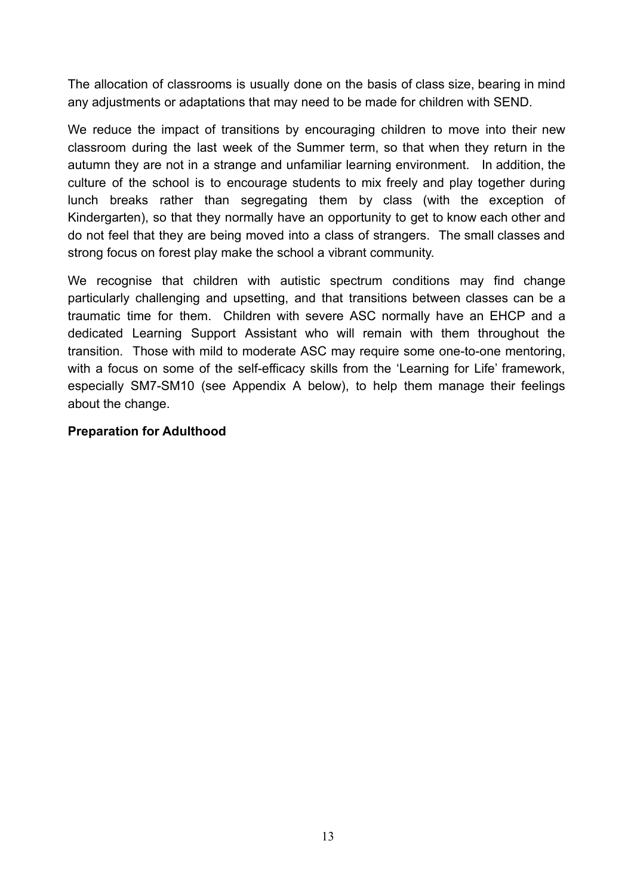The allocation of classrooms is usually done on the basis of class size, bearing in mind any adjustments or adaptations that may need to be made for children with SEND.

We reduce the impact of transitions by encouraging children to move into their new classroom during the last week of the Summer term, so that when they return in the autumn they are not in a strange and unfamiliar learning environment. In addition, the culture of the school is to encourage students to mix freely and play together during lunch breaks rather than segregating them by class (with the exception of Kindergarten), so that they normally have an opportunity to get to know each other and do not feel that they are being moved into a class of strangers. The small classes and strong focus on forest play make the school a vibrant community.

We recognise that children with autistic spectrum conditions may find change particularly challenging and upsetting, and that transitions between classes can be a traumatic time for them. Children with severe ASC normally have an EHCP and a dedicated Learning Support Assistant who will remain with them throughout the transition. Those with mild to moderate ASC may require some one-to-one mentoring, with a focus on some of the self-efficacy skills from the 'Learning for Life' framework, especially SM7-SM10 (see Appendix A below), to help them manage their feelings about the change.

#### **Preparation for Adulthood**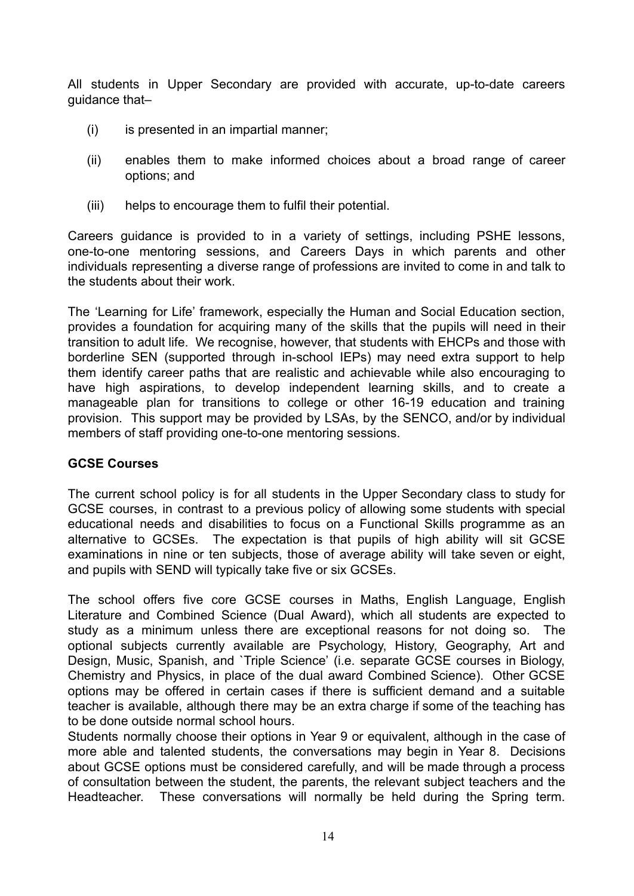All students in Upper Secondary are provided with accurate, up-to-date careers guidance that–

- (i) is presented in an impartial manner;
- (ii) enables them to make informed choices about a broad range of career options; and
- (iii) helps to encourage them to fulfil their potential.

Careers guidance is provided to in a variety of settings, including PSHE lessons, one-to-one mentoring sessions, and Careers Days in which parents and other individuals representing a diverse range of professions are invited to come in and talk to the students about their work.

The 'Learning for Life' framework, especially the Human and Social Education section, provides a foundation for acquiring many of the skills that the pupils will need in their transition to adult life. We recognise, however, that students with EHCPs and those with borderline SEN (supported through in-school IEPs) may need extra support to help them identify career paths that are realistic and achievable while also encouraging to have high aspirations, to develop independent learning skills, and to create a manageable plan for transitions to college or other 16-19 education and training provision. This support may be provided by LSAs, by the SENCO, and/or by individual members of staff providing one-to-one mentoring sessions.

## **GCSE Courses**

The current school policy is for all students in the Upper Secondary class to study for GCSE courses, in contrast to a previous policy of allowing some students with special educational needs and disabilities to focus on a Functional Skills programme as an alternative to GCSEs. The expectation is that pupils of high ability will sit GCSE examinations in nine or ten subjects, those of average ability will take seven or eight, and pupils with SEND will typically take five or six GCSEs.

The school offers five core GCSE courses in Maths, English Language, English Literature and Combined Science (Dual Award), which all students are expected to study as a minimum unless there are exceptional reasons for not doing so. The optional subjects currently available are Psychology, History, Geography, Art and Design, Music, Spanish, and `Triple Science' (i.e. separate GCSE courses in Biology, Chemistry and Physics, in place of the dual award Combined Science). Other GCSE options may be offered in certain cases if there is sufficient demand and a suitable teacher is available, although there may be an extra charge if some of the teaching has to be done outside normal school hours.

Students normally choose their options in Year 9 or equivalent, although in the case of more able and talented students, the conversations may begin in Year 8. Decisions about GCSE options must be considered carefully, and will be made through a process of consultation between the student, the parents, the relevant subject teachers and the Headteacher. These conversations will normally be held during the Spring term.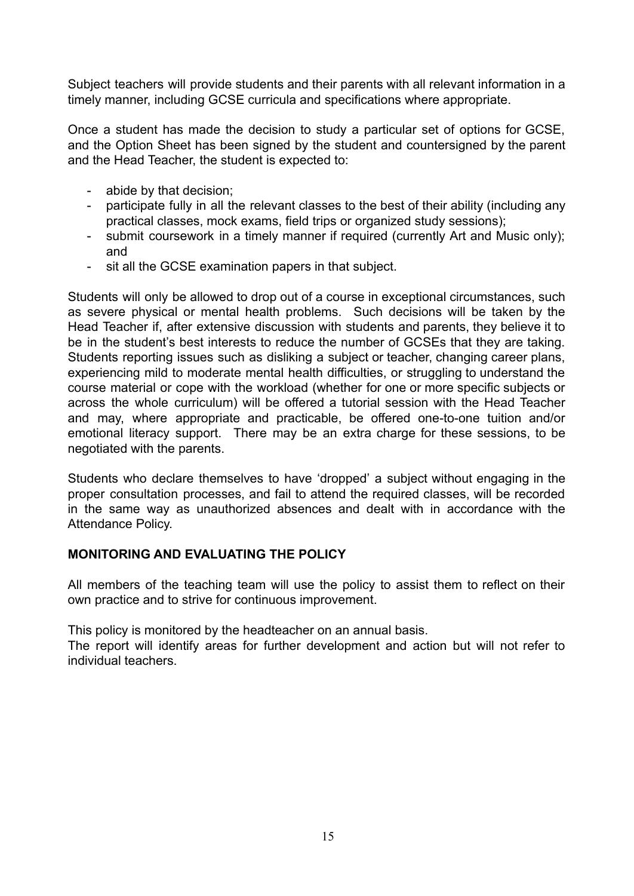Subject teachers will provide students and their parents with all relevant information in a timely manner, including GCSE curricula and specifications where appropriate.

Once a student has made the decision to study a particular set of options for GCSE, and the Option Sheet has been signed by the student and countersigned by the parent and the Head Teacher, the student is expected to:

- abide by that decision;
- participate fully in all the relevant classes to the best of their ability (including any practical classes, mock exams, field trips or organized study sessions);
- submit coursework in a timely manner if required (currently Art and Music only); and
- sit all the GCSE examination papers in that subject.

Students will only be allowed to drop out of a course in exceptional circumstances, such as severe physical or mental health problems. Such decisions will be taken by the Head Teacher if, after extensive discussion with students and parents, they believe it to be in the student's best interests to reduce the number of GCSEs that they are taking. Students reporting issues such as disliking a subject or teacher, changing career plans, experiencing mild to moderate mental health difficulties, or struggling to understand the course material or cope with the workload (whether for one or more specific subjects or across the whole curriculum) will be offered a tutorial session with the Head Teacher and may, where appropriate and practicable, be offered one-to-one tuition and/or emotional literacy support. There may be an extra charge for these sessions, to be negotiated with the parents.

Students who declare themselves to have 'dropped' a subject without engaging in the proper consultation processes, and fail to attend the required classes, will be recorded in the same way as unauthorized absences and dealt with in accordance with the Attendance Policy.

## **MONITORING AND EVALUATING THE POLICY**

All members of the teaching team will use the policy to assist them to reflect on their own practice and to strive for continuous improvement.

This policy is monitored by the headteacher on an annual basis.

The report will identify areas for further development and action but will not refer to individual teachers.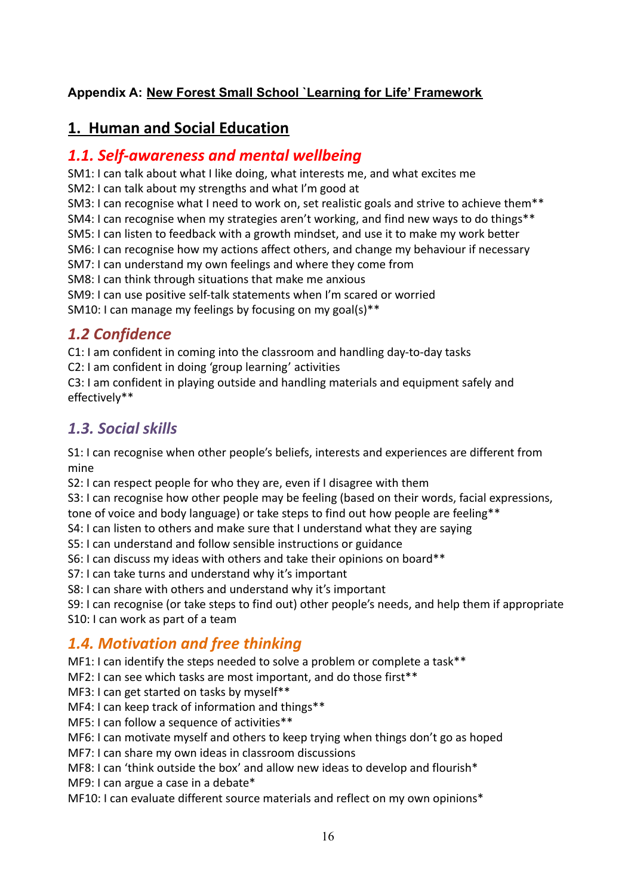# **Appendix A: New Forest Small School `Learning for Life' Framework**

# **1. Human and Social Education**

# *1.1. Self-awareness and mental wellbeing*

SM1: I can talk about what I like doing, what interests me, and what excites me

SM2: I can talk about my strengths and what I'm good at

SM3: I can recognise what I need to work on, set realistic goals and strive to achieve them\*\*

SM4: I can recognise when my strategies aren't working, and find new ways to do things\*\*

SM5: I can listen to feedback with a growth mindset, and use it to make my work better

SM6: I can recognise how my actions affect others, and change my behaviour if necessary

SM7: I can understand my own feelings and where they come from

SM8: I can think through situations that make me anxious

SM9: I can use positive self-talk statements when I'm scared or worried

SM10: I can manage my feelings by focusing on my goal(s)\*\*

# *1.2 Confidence*

C1: I am confident in coming into the classroom and handling day-to-day tasks C2: I am confident in doing 'group learning' activities

C3: I am confident in playing outside and handling materials and equipment safely and effectively\*\*

# *1.3. Social skills*

S1: I can recognise when other people's beliefs, interests and experiences are different from mine

S2: I can respect people for who they are, even if I disagree with them

S3: I can recognise how other people may be feeling (based on their words, facial expressions, tone of voice and body language) or take steps to find out how people are feeling\*\*

S4: I can listen to others and make sure that I understand what they are saying

S5: I can understand and follow sensible instructions or guidance

S6: I can discuss my ideas with others and take their opinions on board\*\*

S7: I can take turns and understand why it's important

S8: I can share with others and understand why it's important

S9: I can recognise (or take steps to find out) other people's needs, and help them if appropriate S10: I can work as part of a team

# *1.4. Motivation and free thinking*

MF1: I can identify the steps needed to solve a problem or complete a task\*\*

MF2: I can see which tasks are most important, and do those first\*\*

MF3: I can get started on tasks by myself\*\*

MF4: I can keep track of information and things\*\*

MF5: I can follow a sequence of activities\*\*

MF6: I can motivate myself and others to keep trying when things don't go as hoped

MF7: I can share my own ideas in classroom discussions

MF8: I can 'think outside the box' and allow new ideas to develop and flourish\*

MF9: I can argue a case in a debate\*

MF10: I can evaluate different source materials and reflect on my own opinions\*